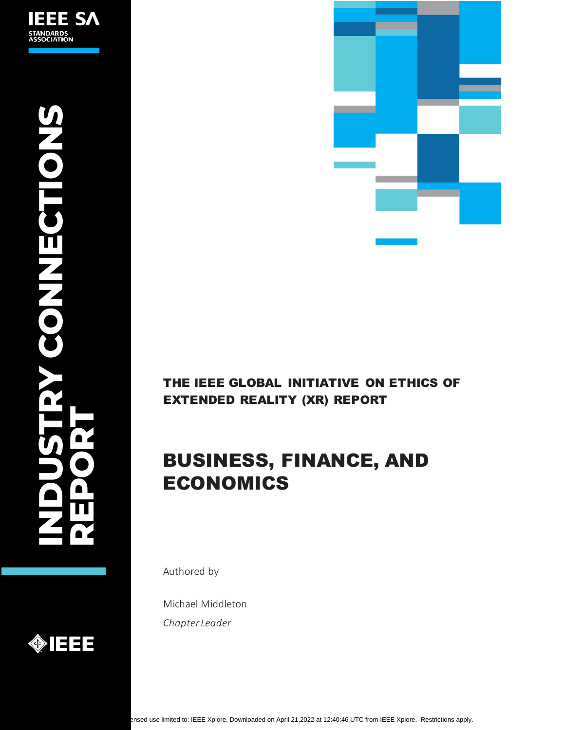



## THE IEEE GLOBAL INITIATIVE ON ETHICS OF EXTENDED REALITY (XR) REPORT

# BUSINESS, FINANCE, AND ECONOMICS

Authored by

Michael Middleton *Chapter Leader*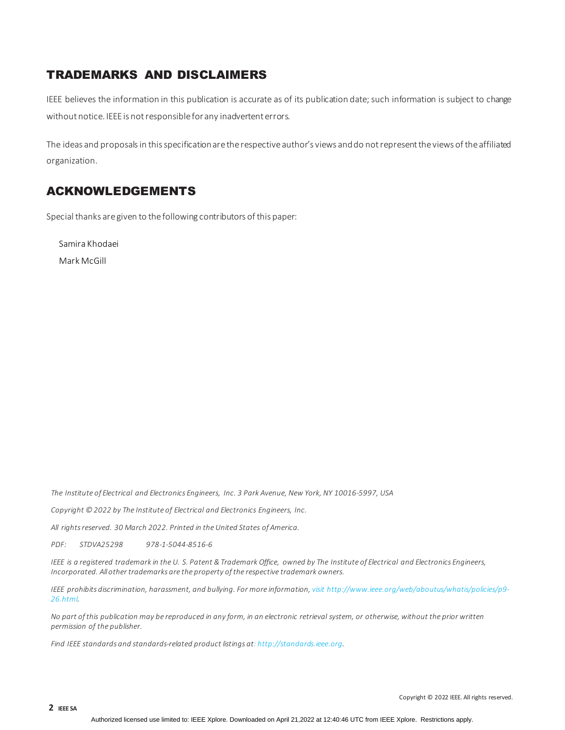## TRADEMARKS AND DISCLAIMERS

IEEE believes the information in this publication is accurate as of its publication date; such information is subject to change without notice. IEEE is not responsible for any inadvertent errors.

The ideas and proposals in this specification are the respective author's views and do not represent the views of the affiliated organization.

## ACKNOWLEDGEMENTS

Special thanks aregiven to the following contributors of this paper:

Samira Khodaei

Mark McGill

*The Institute of Electrical and Electronics Engineers, Inc. 3 Park Avenue, New York, NY 10016-5997, USA*

*Copyright © 2022 by The Institute of Electrical and Electronics Engineers, Inc.* 

*All rights reserved. 30 March 2022. Printed in the United States of America.*

*PDF: STDVA25298 978-1-5044-8516-6*

*IEEE is a registered trademark in the U. S. Patent & Trademark Office, owned by The Institute of Electrical and Electronics Engineers, Incorporated. All other trademarks are the property of the respective trademark owners.*

*IEEE prohibits discrimination, harassment, and bullying. For more information, visit [http://www.ieee.org/web/aboutus/whatis/policies/p9-](http://www.ieee.org/web/aboutus/whatis/policies/p9-26.html) [26.html.](http://www.ieee.org/web/aboutus/whatis/policies/p9-26.html)*

*No part of this publication may be reproduced in any form, in an electronic retrieval system, or otherwise, without the prior written permission of the publisher.*

*Find IEEE standards and standards-related product listings at[: http://standards.ieee.org.](http://standards.ieee.org/)*

Copyright © 2022 IEEE. All rights reserved.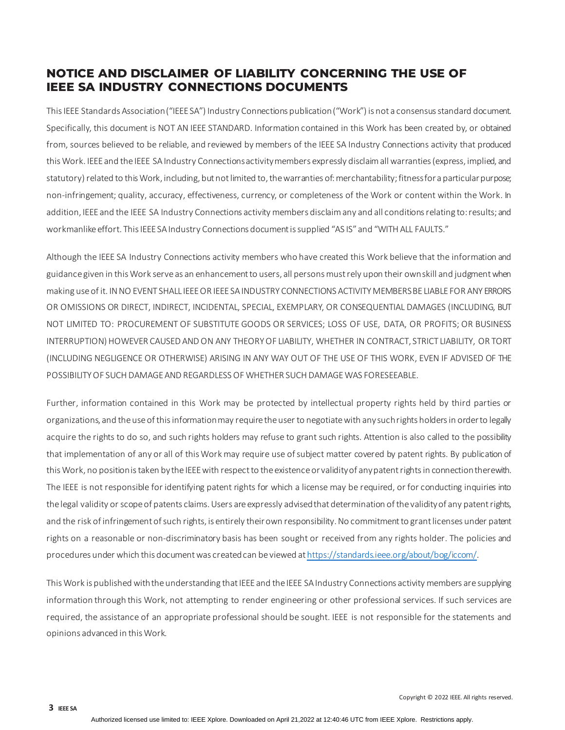## **NOTICE AND DISCLAIMER OF LIABILITY CONCERNING THE USE OF IEEE SA INDUSTRY CONNECTIONS DOCUMENTS**

This IEEE Standards Association ("IEEE SA") Industry Connections publication ("Work") is not a consensus standard document. Specifically, this document is NOT AN IEEE STANDARD. Information contained in this Work has been created by, or obtained from, sources believed to be reliable, and reviewed by members of the IEEE SA Industry Connections activity that produced this Work. IEEE and the IEEE SA Industry Connections activity members expressly disclaim all warranties (express, implied, and statutory) related to this Work, including, but not limited to, the warranties of: merchantability; fitness for a particular purpose; non-infringement; quality, accuracy, effectiveness, currency, or completeness of the Work or content within the Work. In addition, IEEE and the IEEE SA Industry Connections activity members disclaim any and all conditions relating to: results; and workmanlike effort. This IEEE SA Industry Connections document is supplied "AS IS" and "WITH ALL FAULTS."

Although the IEEE SA Industry Connections activity members who have created this Work believe that the information and guidance given in this Work serve as an enhancement to users, all persons must rely upon their own skill and judgment when making use of it. IN NO EVENT SHALL IEEE OR IEEE SA INDUSTRY CONNECTIONS ACTIVITY MEMBERS BE LIABLE FOR ANY ERRORS OR OMISSIONS OR DIRECT, INDIRECT, INCIDENTAL, SPECIAL, EXEMPLARY, OR CONSEQUENTIAL DAMAGES (INCLUDING, BUT NOT LIMITED TO: PROCUREMENT OF SUBSTITUTE GOODS OR SERVICES; LOSS OF USE, DATA, OR PROFITS; OR BUSINESS INTERRUPTION) HOWEVER CAUSED AND ON ANY THEORY OF LIABILITY, WHETHER IN CONTRACT, STRICT LIABILITY, OR TORT (INCLUDING NEGLIGENCE OR OTHERWISE) ARISING IN ANY WAY OUT OF THE USE OF THIS WORK, EVEN IF ADVISED OF THE POSSIBILITY OF SUCH DAMAGE AND REGARDLESS OF WHETHER SUCH DAMAGE WAS FORESEEABLE.

Further, information contained in this Work may be protected by intellectual property rights held by third parties or organizations, and the use of this information may require the user to negotiate with any such rights holders in order to legally acquire the rights to do so, and such rights holders may refuse to grant such rights. Attention is also called to the possibility that implementation of any or all of this Work may require use of subject matter covered by patent rights. By publication of this Work, no position is taken by the IEEE with respect to the existence or validity of any patent rights in connection therewith. The IEEE is not responsible for identifying patent rights for which a license may be required, or for conducting inquiries into the legal validity or scope of patents claims. Users are expressly advised that determination of the validity of any patent rights, and the risk of infringement of such rights, is entirely their own responsibility. No commitment to grant licenses under patent rights on a reasonable or non-discriminatory basis has been sought or received from any rights holder. The policies and procedures under which this document was created can be viewed a[t https://standards.ieee.org/about/bog/iccom/.](https://standards.ieee.org/about/bog/iccom/)

This Work is published with the understanding that IEEE and the IEEE SA Industry Connections activity members are supplying information through this Work, not attempting to render engineering or other professional services. If such services are required, the assistance of an appropriate professional should be sought. IEEE is not responsible for the statements and opinions advanced in this Work.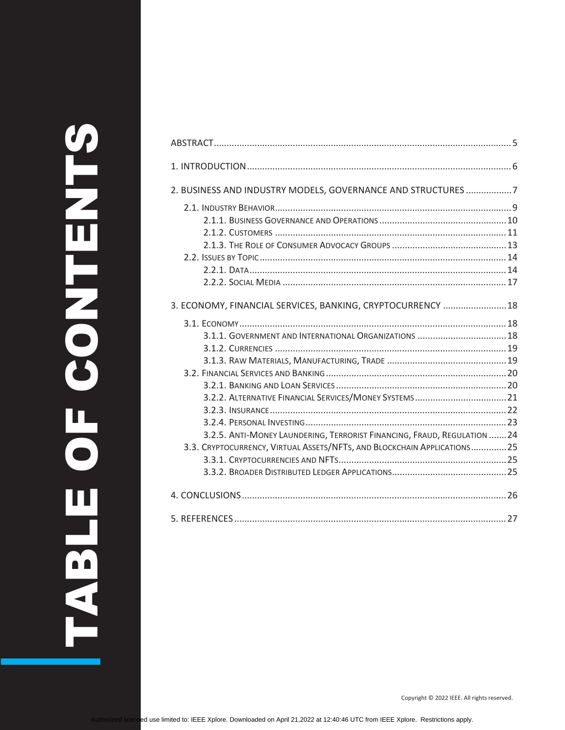| 2. BUSINESS AND INDUSTRY MODELS, GOVERNANCE AND STRUCTURES 7            |  |
|-------------------------------------------------------------------------|--|
|                                                                         |  |
|                                                                         |  |
|                                                                         |  |
|                                                                         |  |
|                                                                         |  |
|                                                                         |  |
|                                                                         |  |
| 3. ECONOMY, FINANCIAL SERVICES, BANKING, CRYPTOCURRENCY  18             |  |
|                                                                         |  |
| 3.1.1. GOVERNMENT AND INTERNATIONAL ORGANIZATIONS  18                   |  |
|                                                                         |  |
|                                                                         |  |
|                                                                         |  |
|                                                                         |  |
|                                                                         |  |
|                                                                         |  |
|                                                                         |  |
| 3.2.5. ANTI-MONEY LAUNDERING, TERRORIST FINANCING, FRAUD, REGULATION 24 |  |
| 3.3. CRYPTOCURRENCY, VIRTUAL ASSETS/NFTS, AND BLOCKCHAIN APPLICATIONS25 |  |
|                                                                         |  |
|                                                                         |  |
|                                                                         |  |
|                                                                         |  |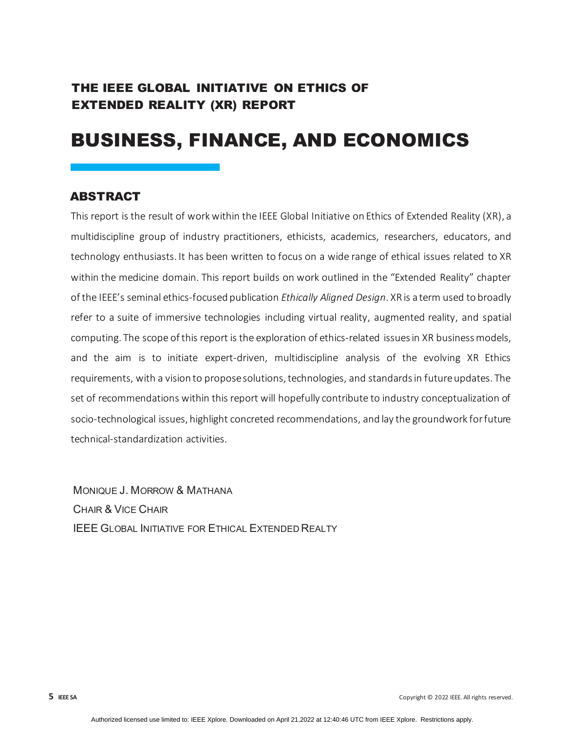## THE IEEE GLOBAL INITIATIVE ON ETHICS OF EXTENDED REALITY (XR) REPORT

# BUSINESS, FINANCE, AND ECONOMICS

#### <span id="page-4-0"></span>**ABSTRACT**

This report is the result of work within the IEEE Global Initiative on Ethics of Extended Reality (XR), a multidiscipline group of industry practitioners, ethicists, academics, researchers, educators, and technology enthusiasts. It has been written to focus on a wide range of ethical issues related to XR within the medicine domain. This report builds on work outlined in the "Extended Reality" chapter of the IEEE's seminal ethics-focused publication *[Ethically Aligned Design](https://standards.ieee.org/content/dam/ieee-standards/standards/web/documents/other/ead_v2.pdf)*. XR is a term used to broadly refer to a suite of immersive technologies including virtual reality, augmented reality, and spatial computing. The scope of this report is the exploration of ethics-related issues in XR business models, and the aim is to initiate expert-driven, multidiscipline analysis of the evolving XR Ethics requirements, with a vision to propose solutions, technologies, and standards in future updates. The set of recommendations within this report will hopefully contribute to industry conceptualization of socio-technological issues, highlight concreted recommendations, and lay the groundwork for future technical-standardization activities.

MONIQUE J. MORROW & MATHANA CHAIR & VICE CHAIR IEEE GLOBAL INITIATIVE FOR ETHICAL EXTENDED REALTY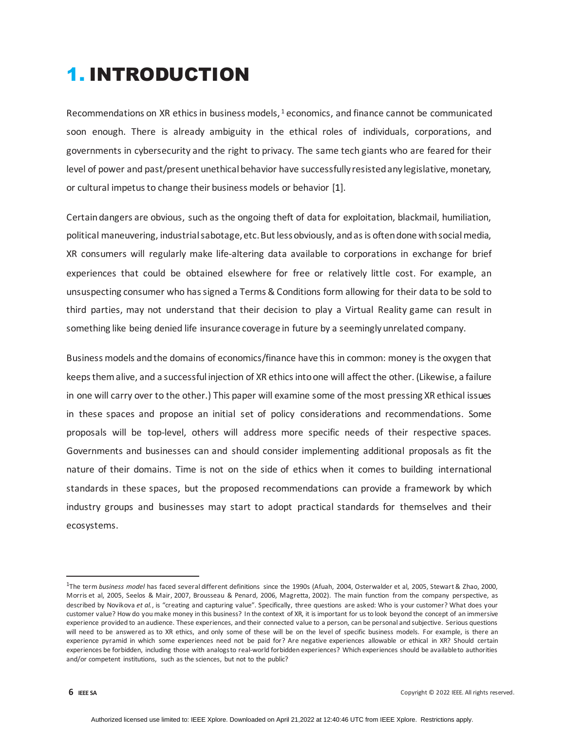# <span id="page-5-0"></span>1. INTRODUCTION

Recommendations on XR ethics in business models,  $1$  economics, and finance cannot be communicated soon enough. There is already ambiguity in the ethical roles of individuals, corporations, and governments in cybersecurity and the right to privacy. The same tech giants who are feared for their level of power and past/present unethical behavior have successfully resisted any legislative, monetary, or cultural impetus to change their business models or behavior [1].

Certain dangers are obvious, such as the ongoing theft of data for exploitation, blackmail, humiliation, political maneuvering, industrial sabotage, etc. But less obviously, and as is often done with social media, XR consumers will regularly make life-altering data available to corporations in exchange for brief experiences that could be obtained elsewhere for free or relatively little cost. For example, an unsuspecting consumer who has signed a Terms & Conditions form allowing for their data to be sold to third parties, may not understand that their decision to play a Virtual Reality game can result in something like being denied life insurance coverage in future by a seemingly unrelated company.

Business models and the domains of economics/finance have this in common: money is the oxygen that keeps them alive, and a successful injection of XR ethics into one will affect the other. (Likewise, a failure in one will carry over to the other.) This paper will examine some of the most pressing XR ethical issues in these spaces and propose an initial set of policy considerations and recommendations. Some proposals will be top-level, others will address more specific needs of their respective spaces. Governments and businesses can and should consider implementing additional proposals as fit the nature of their domains. Time is not on the side of ethics when it comes to building international standards in these spaces, but the proposed recommendations can provide a framework by which industry groups and businesses may start to adopt practical standards for themselves and their ecosystems.

<span id="page-5-1"></span><sup>1</sup> The term *business model* has faced several different definitions since the 1990s (Afuah, 2004, Osterwalder et al, 2005, Stewart & Zhao, 2000, Morris et al, 2005, Seelos & Mair, 2007, Brousseau & Penard, 2006, Magretta, 2002). The main function from the company perspective, as described by Novikova et al., is "creating and capturing value". Specifically, three questions are asked: Who is your customer? What does your customer value? How do you make money in this business? In the context of XR, it is important for us to look beyond the concept of an immersive experience provided to an audience. These experiences, and their connected value to a person, can be personal and subjective. Serious questions will need to be answered as to XR ethics, and only some of these will be on the level of specific business models. For example, is there an experience pyramid in which some experiences need not be paid for? Are negative experiences allowable or ethical in XR? Should certain experiences be forbidden, including those with analogs to real-world forbidden experiences? Which experiences should be available to authorities and/or competent institutions, such as the sciences, but not to the public?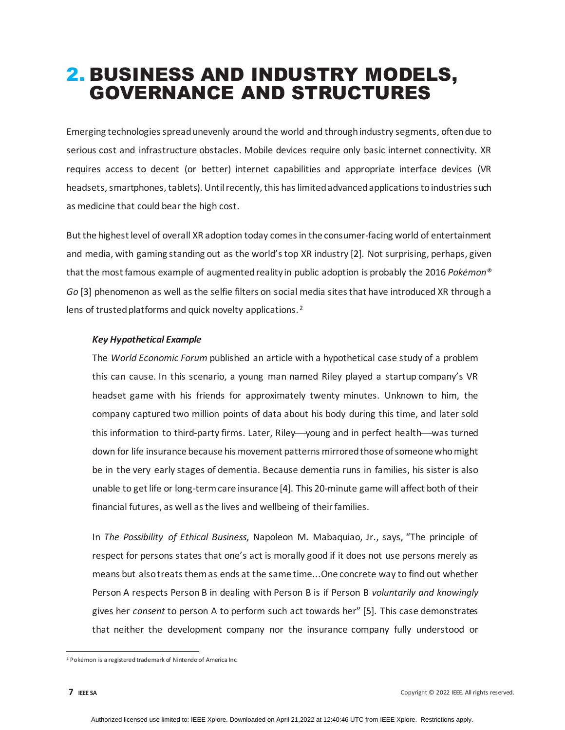# <span id="page-6-0"></span>2. BUSINESS AND INDUSTRY MODELS, GOVERNANCE AND STRUCTURES

Emerging technologies spread unevenly around the world and through industry segments, often due to serious cost and infrastructure obstacles. Mobile devices require only basic internet connectivity. XR requires access to decent (or better) internet capabilities and appropriate interface devices (VR headsets, smartphones, tablets). Until recently, this has limited advanced applications to industries such as medicine that could bear the high cost.

But the highest level of overall XR adoption today comes in the consumer-facing world of entertainment and media, with gaming standing out as the world's top XR industry [2]. Not surprising, perhaps, given that the most famous example of augmented reality in public adoption is probably the 2016 *Pokėmon® Go* [3] phenomenon as well as the selfie filters on social media sites that have introduced XR through a lens of trusted platforms and quick novelty applications.<sup>[2](#page-6-1)</sup>

#### *Key Hypothetical Example*

The *World Economic Forum* published an article with a hypothetical case study of a problem this can cause. In this scenario, a young man named Riley played a startup company's VR headset game with his friends for approximately twenty minutes. Unknown to him, the company captured two million points of data about his body during this time, and later sold this information to third-party firms. Later, Riley—young and in perfect health—was turned down for life insurance because his movement patterns mirrored those of someone who might be in the very early stages of dementia. Because dementia runs in families, his sister is also unable to get life or long-term care insurance [4]. This 20-minute game will affect both of their financial futures, as well as the lives and wellbeing of their families.

In *The Possibility of Ethical Business*, Napoleon M. Mabaquiao, Jr., says, "The principle of respect for persons states that one's act is morally good if it does not use persons merely as means but also treats them as ends at the same time...One concrete way to find out whether Person A respects Person B in dealing with Person B is if Person B *voluntarily and knowingly* gives her *consent* to person A to perform such act towards her" [5]. This case demonstrates that neither the development company nor the insurance company fully understood or

<span id="page-6-1"></span><sup>&</sup>lt;sup>2</sup> Pokėmon is a registered trademark of Nintendo of America Inc.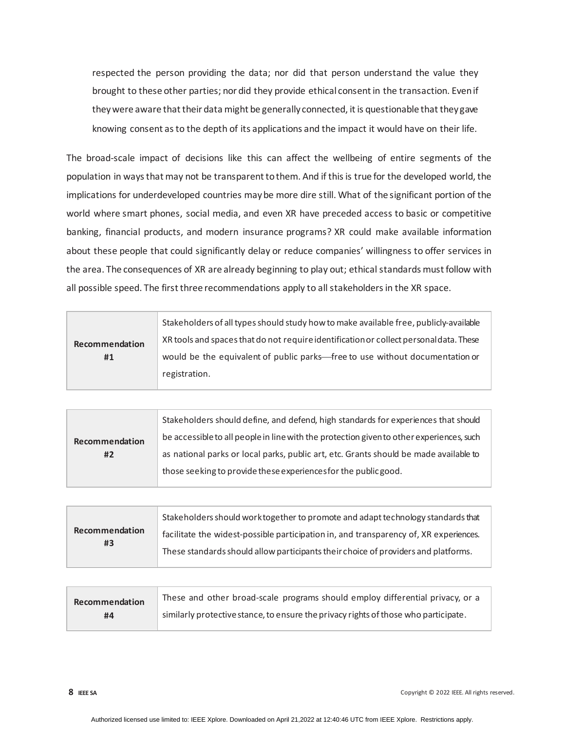respected the person providing the data; nor did that person understand the value they brought to these other parties; nor did they provide ethical consent in the transaction. Even if they were aware that their data might be generally connected, it is questionable that they gave knowing consent as to the depth of its applications and the impact it would have on their life.

The broad-scale impact of decisions like this can affect the wellbeing of entire segments of the population in ways that may not be transparent to them. And if this is true for the developed world, the implications for underdeveloped countries may be more dire still. What of the significant portion of the world where smart phones, social media, and even XR have preceded access to basic or competitive banking, financial products, and modern insurance programs? XR could make available information about these people that could significantly delay or reduce companies' willingness to offer services in the area. The consequences of XR are already beginning to play out; ethical standards must follow with all possible speed. The first three recommendations apply to all stakeholders in the XR space.

| Recommendation<br>#1 | Stakeholders of all types should study how to make available free, publicly-available  |
|----------------------|----------------------------------------------------------------------------------------|
|                      | XR tools and spaces that do not require identification or collect personal data. These |
|                      | would be the equivalent of public parks—free to use without documentation or           |
|                      | registration.                                                                          |
|                      |                                                                                        |

|                      | Stakeholders should define, and defend, high standards for experiences that should       |
|----------------------|------------------------------------------------------------------------------------------|
| Recommendation<br>#2 | be accessible to all people in line with the protection given to other experiences, such |
|                      | as national parks or local parks, public art, etc. Grants should be made available to    |
|                      | those seeking to provide these experiences for the public good.                          |
|                      |                                                                                          |

| Recommendation<br>#3 | Stakeholders should work together to promote and adapt technology standards that      |
|----------------------|---------------------------------------------------------------------------------------|
|                      | facilitate the widest-possible participation in, and transparency of, XR experiences. |
|                      | These standards should allow participants their choice of providers and platforms.    |

| Recommendation | These and other broad-scale programs should employ differential privacy, or a       |
|----------------|-------------------------------------------------------------------------------------|
| #4             | similarly protective stance, to ensure the privacy rights of those who participate. |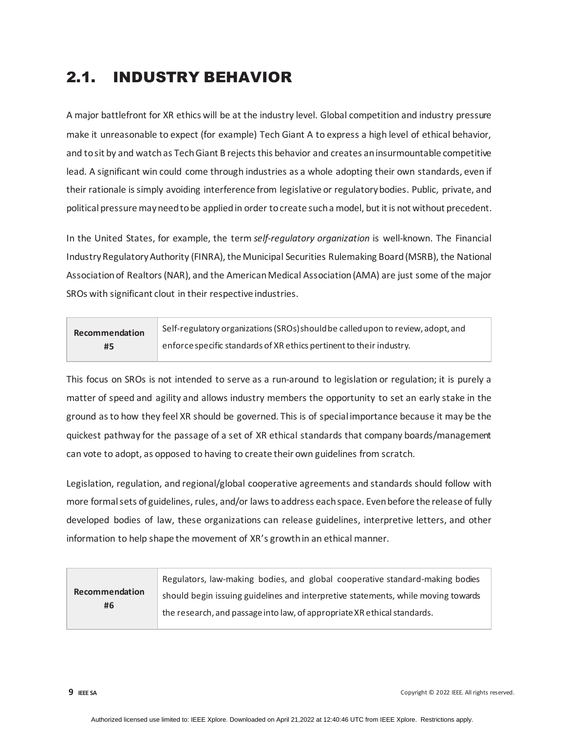## <span id="page-8-0"></span>2.1. INDUSTRY BEHAVIOR

A major battlefront for XR ethics will be at the industry level. Global competition and industry pressure make it unreasonable to expect (for example) Tech Giant A to express a high level of ethical behavior, and to sit by and watch as Tech Giant B rejects this behavior and creates an insurmountable competitive lead. A significant win could come through industries as a whole adopting their own standards, even if their rationale is simply avoiding interference from legislative or regulatory bodies. Public, private, and political pressure may need to be applied in order to create such a model, but it is not without precedent.

In the United States, for example, the term *self-regulatory organization* is well-known. The Financial Industry Regulatory Authority (FINRA), the Municipal Securities Rulemaking Board (MSRB), the National Association of Realtors (NAR), and the American Medical Association (AMA) are just some of the major SROs with significant clout in their respective industries.

| Recommendation | Self-regulatory organizations (SROs) should be called upon to review, adopt, and |
|----------------|----------------------------------------------------------------------------------|
| #5             | enforce specific standards of XR ethics pertinent to their industry.             |

This focus on SROs is not intended to serve as a run-around to legislation or regulation; it is purely a matter of speed and agility and allows industry members the opportunity to set an early stake in the ground as to how they feel XR should be governed. This is of special importance because it may be the quickest pathway for the passage of a set of XR ethical standards that company boards/management can vote to adopt, as opposed to having to create their own guidelines from scratch.

Legislation, regulation, and regional/global cooperative agreements and standards should follow with more formal sets of guidelines, rules, and/or laws to address each space. Even before the release of fully developed bodies of law, these organizations can release guidelines, interpretive letters, and other information to help shape the movement of XR's growth in an ethical manner.

| Regulators, law-making bodies, and global cooperative standard-making bodies      |
|-----------------------------------------------------------------------------------|
| should begin issuing guidelines and interpretive statements, while moving towards |
| the research, and passage into law, of appropriate XR ethical standards.          |
|                                                                                   |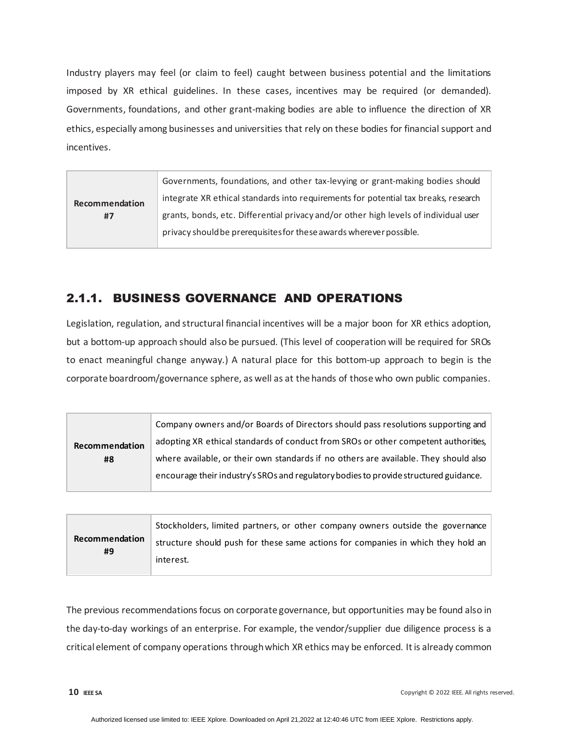Industry players may feel (or claim to feel) caught between business potential and the limitations imposed by XR ethical guidelines. In these cases, incentives may be required (or demanded). Governments, foundations, and other grant-making bodies are able to influence the direction of XR ethics, especially among businesses and universities that rely on these bodies for financial support and incentives.

| Governments, foundations, and other tax-levying or grant-making bodies should        |
|--------------------------------------------------------------------------------------|
| integrate XR ethical standards into requirements for potential tax breaks, research  |
| grants, bonds, etc. Differential privacy and/or other high levels of individual user |
|                                                                                      |
|                                                                                      |

## <span id="page-9-0"></span>2.1.1. BUSINESS GOVERNANCE AND OPERATIONS

Legislation, regulation, and structural financial incentives will be a major boon for XR ethics adoption, but a bottom-up approach should also be pursued. (This level of cooperation will be required for SROs to enact meaningful change anyway.) A natural place for this bottom-up approach to begin is the corporate boardroom/governance sphere, as well as at the hands of those who own public companies.

|                      | Company owners and/or Boards of Directors should pass resolutions supporting and      |
|----------------------|---------------------------------------------------------------------------------------|
| Recommendation<br>#8 | adopting XR ethical standards of conduct from SROs or other competent authorities,    |
|                      | where available, or their own standards if no others are available. They should also  |
|                      | encourage their industry's SROs and regulatory bodies to provide structured guidance. |

|                      | Stockholders, limited partners, or other company owners outside the governance   |
|----------------------|----------------------------------------------------------------------------------|
| Recommendation<br>#9 | structure should push for these same actions for companies in which they hold an |
|                      | interest.                                                                        |

The previous recommendations focus on corporate governance, but opportunities may be found also in the day-to-day workings of an enterprise. For example, the vendor/supplier due diligence process is a critical element of company operations through which XR ethics may be enforced. It is already common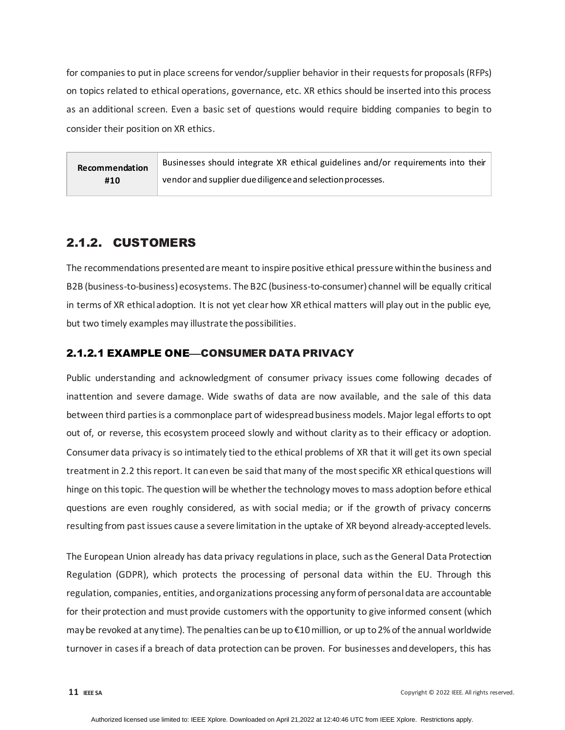for companies to put in place screens for vendor/supplier behavior in their requests for proposals (RFPs) on topics related to ethical operations, governance, etc. XR ethics should be inserted into this process as an additional screen. Even a basic set of questions would require bidding companies to begin to consider their position on XR ethics.

**Recommendation #10** Businesses should integrate XR ethical guidelines and/or requirements into their vendor and supplier due diligence and selection processes.

### <span id="page-10-0"></span>2.1.2. CUSTOMERS

The recommendations presented are meant to inspire positive ethical pressure within the business and B2B (business-to-business) ecosystems. The B2C (business-to-consumer) channel will be equally critical in terms of XR ethical adoption. It is not yet clear how XR ethical matters will play out in the public eye, but two timely examples may illustrate the possibilities.

#### 2.1.2.1 EXAMPLE ONE-CONSUMER DATA PRIVACY

Public understanding and acknowledgment of consumer privacy issues come following decades of inattention and severe damage. Wide swaths of data are now available, and the sale of this data between third parties is a commonplace part of widespread business models. Major legal efforts to opt out of, or reverse, this ecosystem proceed slowly and without clarity as to their efficacy or adoption. Consumer data privacy is so intimately tied to the ethical problems of XR that it will get its own special treatment i[n 2.2](#page-13-0) this report. It can even be said that many of the most specific XR ethical questions will hinge on this topic. The question will be whether the technology moves to mass adoption before ethical questions are even roughly considered, as with social media; or if the growth of privacy concerns resulting from past issues cause a severe limitation in the uptake of XR beyond already-accepted levels.

The European Union already has data privacy regulations in place, such as the General Data Protection Regulation (GDPR), which protects the processing of personal data within the EU. Through this regulation, companies, entities, and organizations processing any form of personal data are accountable for their protection and must provide customers with the opportunity to give informed consent (which may be revoked at any time). The penalties can be up to €10 million, or up to 2% of the annual worldwide turnover in cases if a breach of data protection can be proven. For businesses and developers, this has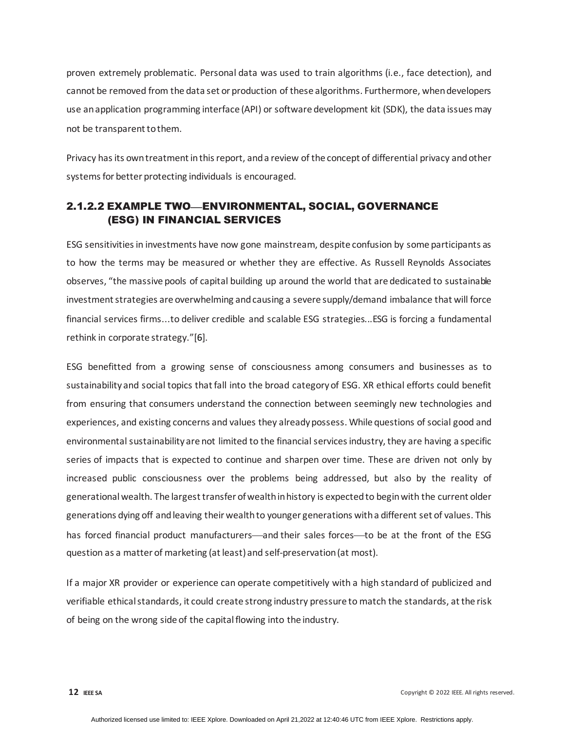proven extremely problematic. Personal data was used to train algorithms (i.e., face detection), and cannot be removed from the data set or production of these algorithms. Furthermore, when developers use an application programming interface (API) or software development kit (SDK), the data issues may not be transparent to them.

Privacy has its own treatment in this report, and a review of the concept of differential privacy and other systems for better protecting individuals is encouraged.

#### 2.1.2.2 EXAMPLE TWO—ENVIRONMENTAL, SOCIAL, GOVERNANCE (ESG) IN FINANCIAL SERVICES

ESG sensitivities in investments have now gone mainstream, despite confusion by some participants as to how the terms may be measured or whether they are effective. As Russell Reynolds Associates observes, "the massive pools of capital building up around the world that are dedicated to sustainable investment strategies are overwhelming and causing a severe supply/demand imbalance that will force financial services firms...to deliver credible and scalable ESG strategies...ESG is forcing a fundamental rethink in corporate strategy."[6].

ESG benefitted from a growing sense of consciousness among consumers and businesses as to sustainability and social topics that fall into the broad category of ESG. XR ethical efforts could benefit from ensuring that consumers understand the connection between seemingly new technologies and experiences, and existing concerns and values they already possess. While questions of social good and environmental sustainability are not limited to the financial services industry, they are having a specific series of impacts that is expected to continue and sharpen over time. These are driven not only by increased public consciousness over the problems being addressed, but also by the reality of generational wealth. The largest transfer of wealth in history is expected to begin with the current older generations dying off and leaving their wealth to younger generations with a different set of values. This has forced financial product manufacturers—and their sales forces—to be at the front of the ESG question as a matter of marketing (at least) and self-preservation (at most).

If a major XR provider or experience can operate competitively with a high standard of publicized and verifiable ethical standards, it could create strong industry pressure to match the standards, at the risk of being on the wrong side of the capital flowing into the industry.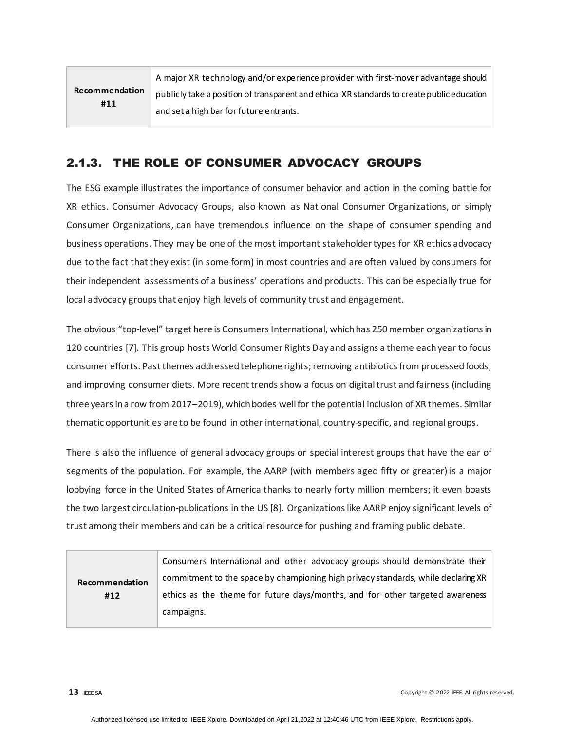|                       | A major XR technology and/or experience provider with first-mover advantage should          |
|-----------------------|---------------------------------------------------------------------------------------------|
| Recommendation<br>#11 | publicly take a position of transparent and ethical XR standards to create public education |
|                       | and set a high bar for future entrants.                                                     |

## <span id="page-12-0"></span>2.1.3. THE ROLE OF CONSUMER ADVOCACY GROUPS

The ESG example illustrates the importance of consumer behavior and action in the coming battle for XR ethics. Consumer Advocacy Groups, also known as National Consumer Organizations, or simply Consumer Organizations, can have tremendous influence on the shape of consumer spending and business operations. They may be one of the most important stakeholder types for XR ethics advocacy due to the fact that they exist (in some form) in most countries and are often valued by consumers for their independent assessments of a business' operations and products. This can be especially true for local advocacy groups that enjoy high levels of community trust and engagement.

The obvious "top-level" target here is Consumers International, which has 250 member organizations in 120 countries [7]. This group hosts World Consumer Rights Day and assigns a theme each year to focus consumer efforts. Past themes addressed telephone rights; removing antibiotics from processed foods; and improving consumer diets. More recent trends show a focus on digital trust and fairness (including three years in a row from 2017−2019), which bodes well for the potential inclusion of XR themes. Similar thematic opportunities are to be found in other international, country-specific, and regional groups.

There is also the influence of general advocacy groups or special interest groups that have the ear of segments of the population. For example, the AARP (with members aged fifty or greater) is a major lobbying force in the United States of America thanks to nearly forty million members; it even boasts the two largest circulation-publications in the US [8]. Organizations like AARP enjoy significant levels of trust among their members and can be a critical resource for pushing and framing public debate.

| <b>Recommendation</b><br>#12 | Consumers International and other advocacy groups should demonstrate their        |
|------------------------------|-----------------------------------------------------------------------------------|
|                              | commitment to the space by championing high privacy standards, while declaring XR |
|                              | ethics as the theme for future days/months, and for other targeted awareness      |
|                              | campaigns.                                                                        |
|                              |                                                                                   |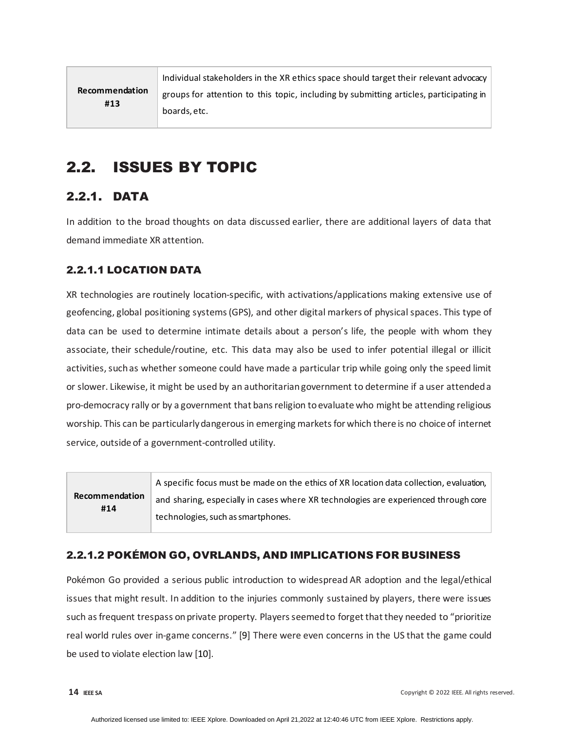|                       | Individual stakeholders in the XR ethics space should target their relevant advocacy   |
|-----------------------|----------------------------------------------------------------------------------------|
| Recommendation<br>#13 | groups for attention to this topic, including by submitting articles, participating in |
|                       | boards, etc.                                                                           |

## <span id="page-13-0"></span>2.2. ISSUES BY TOPIC

## <span id="page-13-1"></span>2.2.1. DATA

In addition to the broad thoughts on data discussed earlier, there are additional layers of data that demand immediate XR attention.

### 2.2.1.1 LOCATION DATA

XR technologies are routinely location-specific, with activations/applications making extensive use of geofencing, global positioning systems (GPS), and other digital markers of physical spaces. This type of data can be used to determine intimate details about a person's life, the people with whom they associate, their schedule/routine, etc. This data may also be used to infer potential illegal or illicit activities, such as whether someone could have made a particular trip while going only the speed limit or slower. Likewise, it might be used by an authoritarian government to determine if a user attended a pro-democracy rally or by a government that bans religion to evaluate who might be attending religious worship. This can be particularly dangerous in emerging markets for which there is no choice of internet service, outside of a government-controlled utility.

|                       | A specific focus must be made on the ethics of XR location data collection, evaluation, |
|-----------------------|-----------------------------------------------------------------------------------------|
| Recommendation<br>#14 | and sharing, especially in cases where XR technologies are experienced through core     |
|                       | technologies, such as smartphones.                                                      |

#### 2.2.1.2 POKÉMON GO, OVRLANDS, AND IMPLICATIONS FOR BUSINESS

Pokémon Go provided a serious public introduction to widespread AR adoption and the legal/ethical issues that might result. In addition to the injuries commonly sustained by players, there were issues such as frequent trespass on private property. Players seemed to forget that they needed to "prioritize real world rules over in-game concerns." [9] There were even concerns in the US that the game could be used to violate election law [10].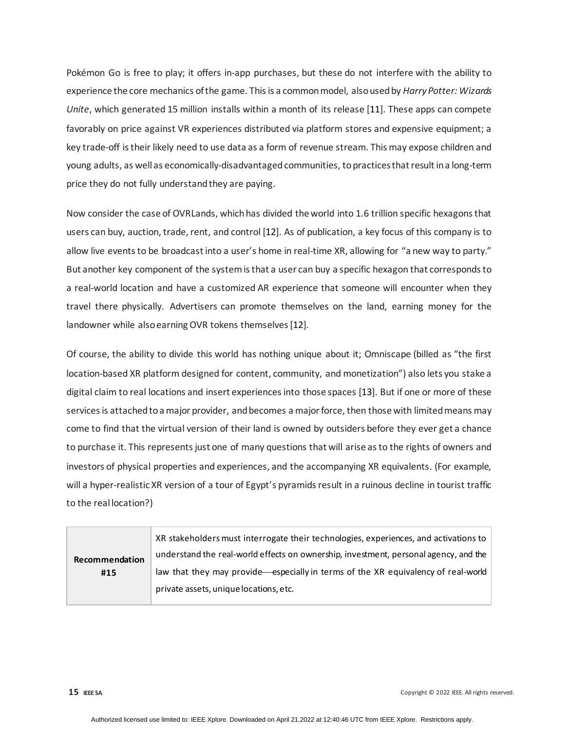Pokémon Go is free to play; it offers in-app purchases, but these do not interfere with the ability to experience the core mechanics of the game. This is a common model, also used by *Harry Potter: Wizards Unite*, which generated 15 million installs within a month of its release [11]. These apps can compete favorably on price against VR experiences distributed via platform stores and expensive equipment; a key trade-off is their likely need to use data as a form of revenue stream. This may expose children and young adults, as well as economically-disadvantaged communities, to practices that result in a long-term price they do not fully understand they are paying.

Now consider the case of OVRLands, which has divided the world into 1.6 trillion specific hexagons that users can buy, auction, trade, rent, and control [12]. As of publication, a key focus of this company is to allow live events to be broadcast into a user's home in real-time XR, allowing for "a new way to party." But another key component of the system is that a user can buy a specific hexagon that corresponds to a real-world location and have a customized AR experience that someone will encounter when they travel there physically. Advertisers can promote themselves on the land, earning money for the landowner while also earning OVR tokens themselves [12].

Of course, the ability to divide this world has nothing unique about it; Omniscape (billed as "the first location-based XR platform designed for content, community, and monetization") also lets you stake a digital claim to real locations and insert experiences into those spaces [13]. But if one or more of these services is attached to a major provider, and becomes a major force, then those with limited means may come to find that the virtual version of their land is owned by outsiders before they ever get a chance to purchase it. This represents just one of many questions that will arise as to the rights of owners and investors of physical properties and experiences, and the accompanying XR equivalents. (For example, will a hyper-realistic XR version of a tour of Egypt's pyramids result in a ruinous decline in tourist traffic to the real location?)

| Recommendation<br>#15 | XR stakeholders must interrogate their technologies, experiences, and activations to<br>understand the real-world effects on ownership, investment, personal agency, and the |
|-----------------------|------------------------------------------------------------------------------------------------------------------------------------------------------------------------------|
|                       | law that they may provide—especially in terms of the XR equivalency of real-world<br>private assets, unique locations, etc.                                                  |

**15 IEEE SA** Copyright © 2022 IEEE. All rights reserved.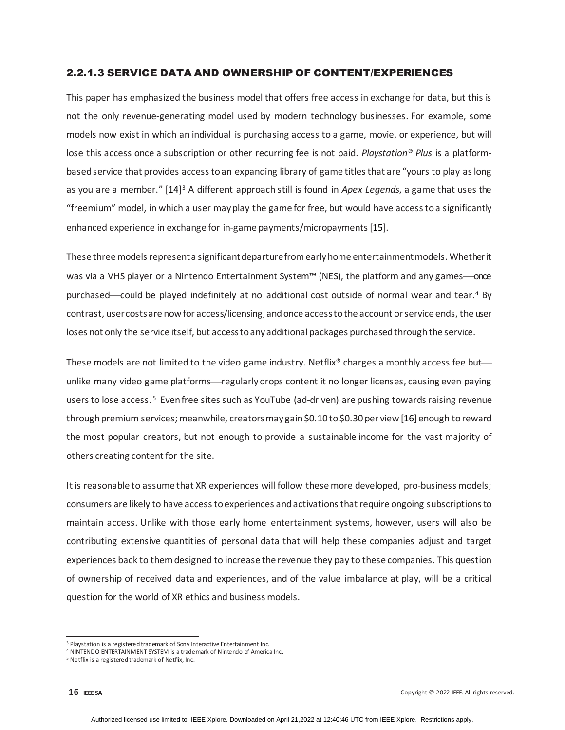#### 2.2.1.3 SERVICE DATA AND OWNERSHIP OF CONTENT/EXPERIENCES

This paper has emphasized the business model that offers free access in exchange for data, but this is not the only revenue-generating model used by modern technology businesses. For example, some models now exist in which an individual is purchasing access to a game, movie, or experience, but will lose this access once a subscription or other recurring fee is not paid. *Playstation® Plus* is a platformbased service that provides access to an expanding library of game titles that are "yours to play as long as you are a member." [14][3](#page-15-0) A different approach still is found in *Apex Legends*, a game that uses the "freemium" model, in which a user may play the game for free, but would have access to a significantly enhanced experience in exchange for in-game payments/micropayments[15].

These three models represent a significant departure from early home entertainment models. Whether it was via a VHS player or a Nintendo Entertainment System™ (NES), the platform and any games—once purchased—could be played indefinitely at no additional cost outside of normal wear and tear.<sup>[4](#page-15-1)</sup> By contrast, user costs are now for access/licensing, and once access to the account or service ends, the user loses not only the service itself, but access to any additional packages purchased through the service.

These models are not limited to the video game industry. Netflix<sup>®</sup> charges a monthly access fee but unlike many video game platforms—regularly drops content it no longer licenses, causing even paying users to lose access. [5](#page-15-2) Even free sites such as YouTube (ad-driven) are pushing towards raising revenue through premium services; meanwhile, creators may gain \$0.10 to \$0.30 per view [16] enough to reward the most popular creators, but not enough to provide a sustainable income for the vast majority of others creating content for the site.

It is reasonable to assume that XR experiences will follow these more developed, pro-business models; consumers are likely to have access to experiences and activations that require ongoing subscriptions to maintain access. Unlike with those early home entertainment systems, however, users will also be contributing extensive quantities of personal data that will help these companies adjust and target experiences back to them designed to increase the revenue they pay to these companies. This question of ownership of received data and experiences, and of the value imbalance at play, will be a critical question for the world of XR ethics and business models.

<span id="page-15-0"></span><sup>&</sup>lt;sup>3</sup> Playstation is a registered trademark of Sony Interactive Entertainment Inc.

<span id="page-15-1"></span><sup>4</sup> NINTENDO ENTERTAINMENT SYSTEM is a trademark of Nintendo of America Inc.

<span id="page-15-2"></span><sup>&</sup>lt;sup>5</sup> Netflix is a registered trademark of Netflix, Inc.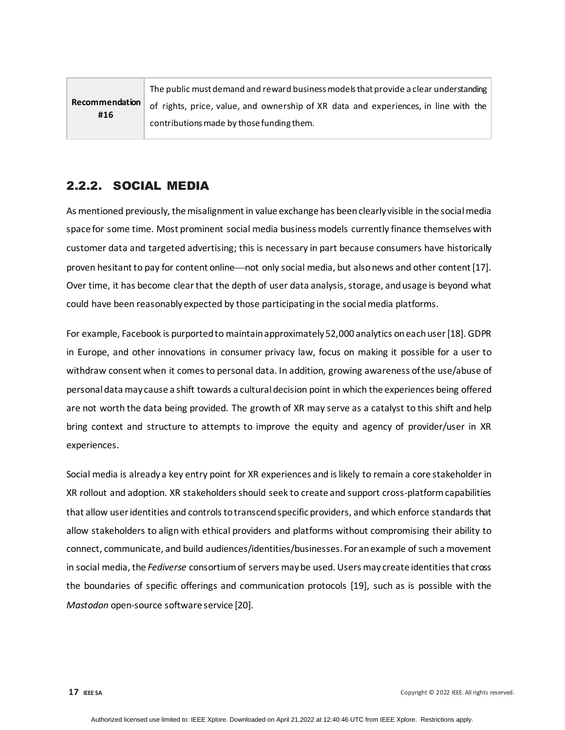|                              | The public must demand and reward business models that provide a clear understanding |
|------------------------------|--------------------------------------------------------------------------------------|
| <b>Recommendation</b><br>#16 | of rights, price, value, and ownership of XR data and experiences, in line with the  |
|                              | contributions made by those funding them.                                            |

### <span id="page-16-0"></span>2.2.2. SOCIAL MEDIA

As mentioned previously, the misalignment in value exchange has been clearly visible in the social media space for some time. Most prominent social media business models currently finance themselves with customer data and targeted advertising; this is necessary in part because consumers have historically proven hesitant to pay for content online—not only social media, but also news and other content [17]. Over time, it has become clear that the depth of user data analysis, storage, andusage is beyond what could have been reasonably expected by those participating in the social media platforms.

For example, Facebook is purported to maintainapproximately 52,000 analytics on each user [18]. GDPR in Europe, and other innovations in consumer privacy law, focus on making it possible for a user to withdraw consent when it comes to personal data. In addition, growing awareness of the use/abuse of personal data may cause a shift towards a cultural decision point in which the experiences being offered are not worth the data being provided. The growth of XR may serve as a catalyst to this shift and help bring context and structure to attempts to improve the equity and agency of provider/user in XR experiences.

Social media is already a key entry point for XR experiences and is likely to remain a core stakeholder in XR rollout and adoption. XR stakeholders should seek to create and support cross-platform capabilities that allow user identities and controls to transcend specific providers, and which enforce standards that allow stakeholders to align with ethical providers and platforms without compromising their ability to connect, communicate, and build audiences/identities/businesses. For an example of such a movement in social media, the *Fediverse* consortium of servers may be used. Users may create identities that cross the boundaries of specific offerings and communication protocols [19], such as is possible with the *Mastodon* open-source software service [20].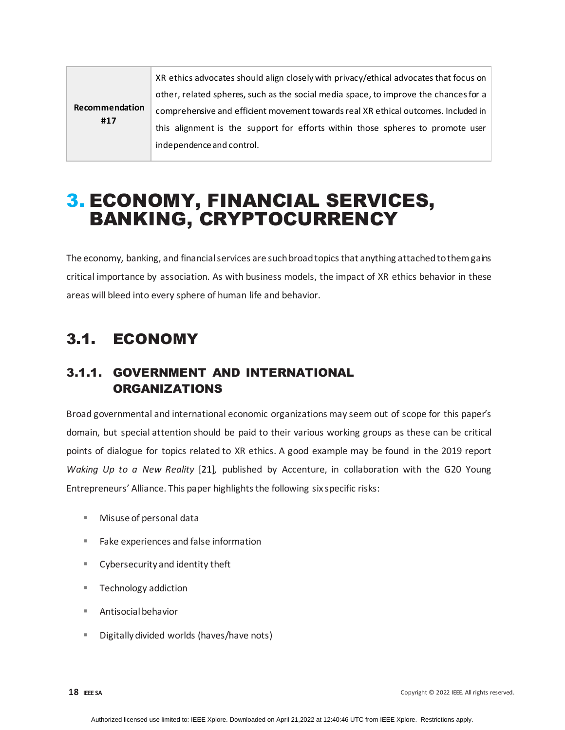| Recommendation<br>#17 | XR ethics advocates should align closely with privacy/ethical advocates that focus on |
|-----------------------|---------------------------------------------------------------------------------------|
|                       | other, related spheres, such as the social media space, to improve the chances for a  |
|                       | comprehensive and efficient movement towards real XR ethical outcomes. Included in    |
|                       | this alignment is the support for efforts within those spheres to promote user        |
|                       | independence and control.                                                             |

## <span id="page-17-0"></span>3. ECONOMY, FINANCIAL SERVICES, BANKING, CRYPTOCURRENCY

The economy, banking, and financial services are such broad topics that anything attached to them gains critical importance by association. As with business models, the impact of XR ethics behavior in these areas will bleed into every sphere of human life and behavior.

## <span id="page-17-1"></span>3.1. ECONOMY

## <span id="page-17-2"></span>3.1.1. GOVERNMENT AND INTERNATIONAL ORGANIZATIONS

Broad governmental and international economic organizations may seem out of scope for this paper's domain, but special attention should be paid to their various working groups as these can be critical points of dialogue for topics related to XR ethics. A good example may be found in the 2019 report *Waking Up to a New Reality* [21]*,* published by Accenture, in collaboration with the G20 Young Entrepreneurs' Alliance. This paper highlights the following six specific risks:

- Misuse of personal data
- Fake experiences and false information
- Cybersecurity and identity theft
- **Technology addiction**
- Antisocial behavior
- Digitally divided worlds (haves/have nots)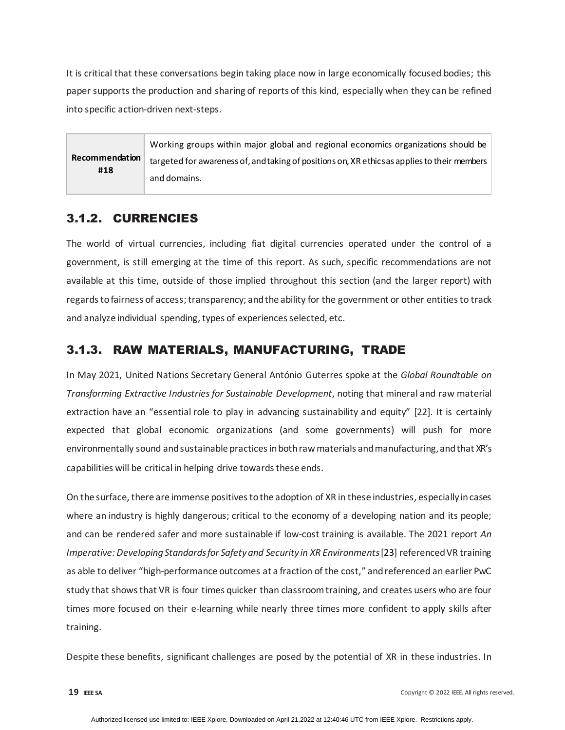It is critical that these conversations begin taking place now in large economically focused bodies; this paper supports the production and sharing of reports of this kind, especially when they can be refined into specific action-driven next-steps.

|                | Working groups within major global and regional economics organizations should be            |
|----------------|----------------------------------------------------------------------------------------------|
| Recommendation | targeted for awareness of, and taking of positions on, XR ethics as applies to their members |
| #18            | and domains.                                                                                 |

### <span id="page-18-0"></span>3.1.2. CURRENCIES

The world of virtual currencies, including fiat digital currencies operated under the control of a government, is still emerging at the time of this report. As such, specific recommendations are not available at this time, outside of those implied throughout this section (and the larger report) with regards to fairness of access; transparency; and the ability for the government or other entities to track and analyze individual spending, types of experiences selected, etc.

### <span id="page-18-1"></span>3.1.3. RAW MATERIALS, MANUFACTURING, TRADE

In May 2021, United Nations Secretary General António Guterres spoke at the *Global Roundtable on Transforming Extractive Industries for Sustainable Development*, noting that mineral and raw material extraction have an "essential role to play in advancing sustainability and equity" [22]. It is certainly expected that global economic organizations (and some governments) will push for more environmentally sound and sustainable practices in both raw materials and manufacturing, and that XR's capabilities will be critical in helping drive towards these ends.

On the surface, there are immense positives to the adoption of XR in these industries, especially in cases where an industry is highly dangerous; critical to the economy of a developing nation and its people; and can be rendered safer and more sustainable if low-cost training is available. The 2021 report *An Imperative: Developing Standards for Safety and Security in XR Environments*[23] referenced VR training as able to deliver "high-performance outcomes at a fraction of the cost," and referenced an earlier PwC study that shows that VR is four times quicker than classroom training, and creates users who are four times more focused on their e-learning while nearly three times more confident to apply skills after training.

Despite these benefits, significant challenges are posed by the potential of XR in these industries. In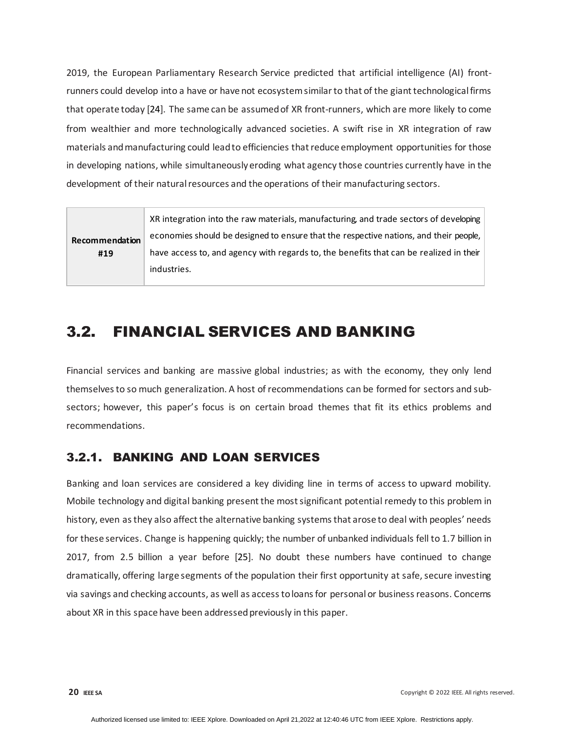2019, the European Parliamentary Research Service predicted that artificial intelligence (AI) frontrunners could develop into a have or have not ecosystem similar to that of the giant technological firms that operate today [24]. The same can be assumed of XR front-runners, which are more likely to come from wealthier and more technologically advanced societies. A swift rise in XR integration of raw materials and manufacturing could lead to efficiencies that reduce employment opportunities for those in developing nations, while simultaneously eroding what agency those countries currently have in the development of their natural resources and the operations of their manufacturing sectors.

|                       | XR integration into the raw materials, manufacturing, and trade sectors of developing  |
|-----------------------|----------------------------------------------------------------------------------------|
| Recommendation<br>#19 | economies should be designed to ensure that the respective nations, and their people,  |
|                       | have access to, and agency with regards to, the benefits that can be realized in their |
|                       | industries.                                                                            |

## <span id="page-19-0"></span>3.2. FINANCIAL SERVICES AND BANKING

Financial services and banking are massive global industries; as with the economy, they only lend themselves to so much generalization. A host of recommendations can be formed for sectors and subsectors; however, this paper's focus is on certain broad themes that fit its ethics problems and recommendations.

## <span id="page-19-1"></span>3.2.1. BANKING AND LOAN SERVICES

Banking and loan services are considered a key dividing line in terms of access to upward mobility. Mobile technology and digital banking present the most significant potential remedy to this problem in history, even as they also affect the alternative banking systems that arose to deal with peoples' needs for these services. Change is happening quickly; the number of unbanked individuals fell to 1.7 billion in 2017, from 2.5 billion a year before [25]. No doubt these numbers have continued to change dramatically, offering large segments of the population their first opportunity at safe, secure investing via savings and checking accounts, as well as access to loans for personal or business reasons. Concerns about XR in this space have been addressed previously in this paper.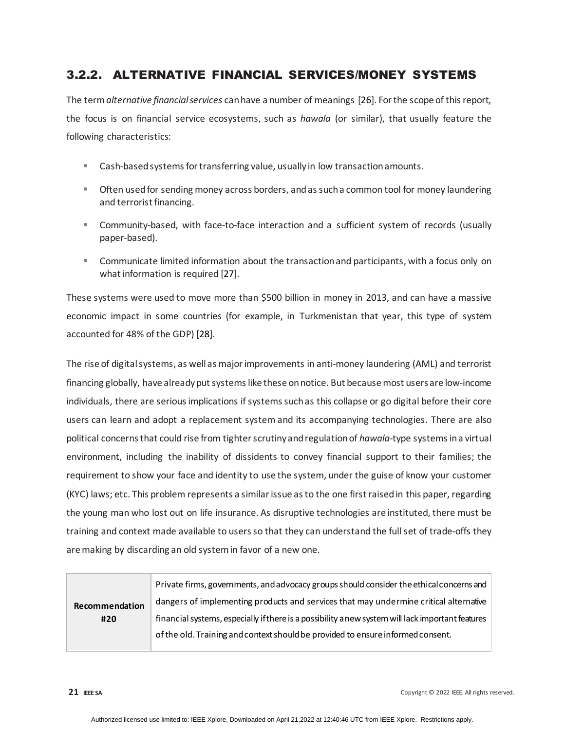## <span id="page-20-0"></span>3.2.2. ALTERNATIVE FINANCIAL SERVICES/MONEY SYSTEMS

The term *alternative financial services* can have a number of meanings [26]. For the scope of this report, the focus is on financial service ecosystems, such as *hawala* (or similar), that usually feature the following characteristics:

- Cash-based systems for transferring value, usually in low transaction amounts.
- Often used for sending money across borders, and as such a common tool for money laundering and terrorist financing.
- Community-based, with face-to-face interaction and a sufficient system of records (usually paper-based).
- Communicate limited information about the transaction and participants, with a focus only on what information is required [27].

These systems were used to move more than \$500 billion in money in 2013, and can have a massive economic impact in some countries (for example, in Turkmenistan that year, this type of system accounted for 48% of the GDP) [28].

The rise of digital systems, as well as major improvements in anti-money laundering (AML) and terrorist financing globally, have already put systems like these on notice. But because most users are low-income individuals, there are serious implications if systems such as this collapse or go digital before their core users can learn and adopt a replacement system and its accompanying technologies. There are also political concerns that could rise from tighter scrutiny and regulation of *hawala*-type systems ina virtual environment, including the inability of dissidents to convey financial support to their families; the requirement to show your face and identity to use the system, under the guise of know your customer (KYC) laws; etc. This problem represents a similar issue as to the one first raised in this paper, regarding the young man who lost out on life insurance. As disruptive technologies are instituted, there must be training and context made available to users so that they can understand the full set of trade-offs they are making by discarding an old system in favor of a new one.

| Private firms, governments, and advocacy groups should consider the ethical concerns and         |
|--------------------------------------------------------------------------------------------------|
| dangers of implementing products and services that may undermine critical alternative            |
| financial systems, especially if there is a possibility anew system will lack important features |
| of the old. Training and context should be provided to ensure informed consent.                  |
|                                                                                                  |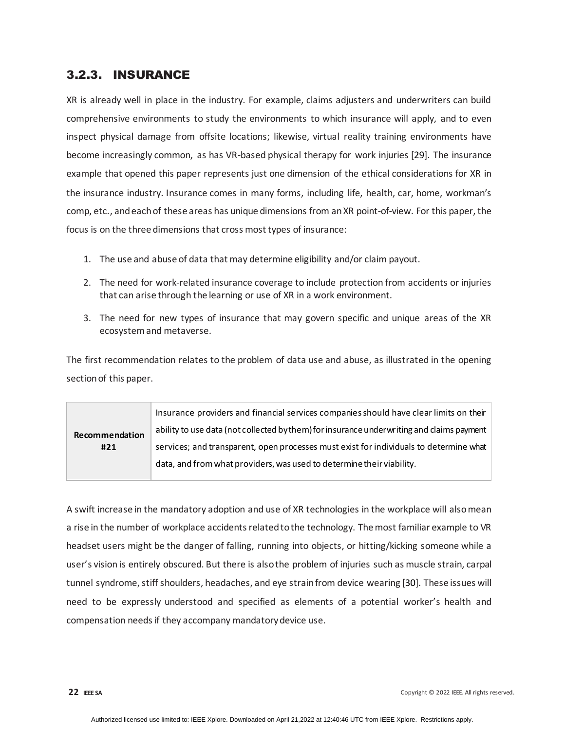### <span id="page-21-0"></span>3.2.3. INSURANCE

XR is already well in place in the industry. For example, claims adjusters and underwriters can build comprehensive environments to study the environments to which insurance will apply, and to even inspect physical damage from offsite locations; likewise, virtual reality training environments have become increasingly common, as has VR-based physical therapy for work injuries [29]. The insurance example that opened this paper represents just one dimension of the ethical considerations for XR in the insurance industry. Insurance comes in many forms, including life, health, car, home, workman's comp, etc., and each of these areas has unique dimensions from an XR point-of-view. For this paper, the focus is on the three dimensions that cross most types of insurance:

- 1. The use and abuse of data that may determine eligibility and/or claim payout.
- 2. The need for work-related insurance coverage to include protection from accidents or injuries that can arise through the learning or use of XR in a work environment.
- 3. The need for new types of insurance that may govern specific and unique areas of the XR ecosystem and metaverse.

The first recommendation relates to the problem of data use and abuse, as illustrated in the opening section of this paper.

| Recommendation<br>#21 | Insurance providers and financial services companies should have clear limits on their     |
|-----------------------|--------------------------------------------------------------------------------------------|
|                       | ability to use data (not collected by them) for insurance under writing and claims payment |
|                       | services; and transparent, open processes must exist for individuals to determine what     |
|                       | data, and from what providers, was used to determine their viability.                      |
|                       |                                                                                            |

A swift increase in the mandatory adoption and use of XR technologies in the workplace will also mean a rise in the number of workplace accidents related to the technology. The most familiar example to VR headset users might be the danger of falling, running into objects, or hitting/kicking someone while a user's vision is entirely obscured. But there is also the problem of injuries such as muscle strain, carpal tunnel syndrome, stiff shoulders, headaches, and eye strain from device wearing [30]. These issues will need to be expressly understood and specified as elements of a potential worker's health and compensation needs if they accompany mandatory device use.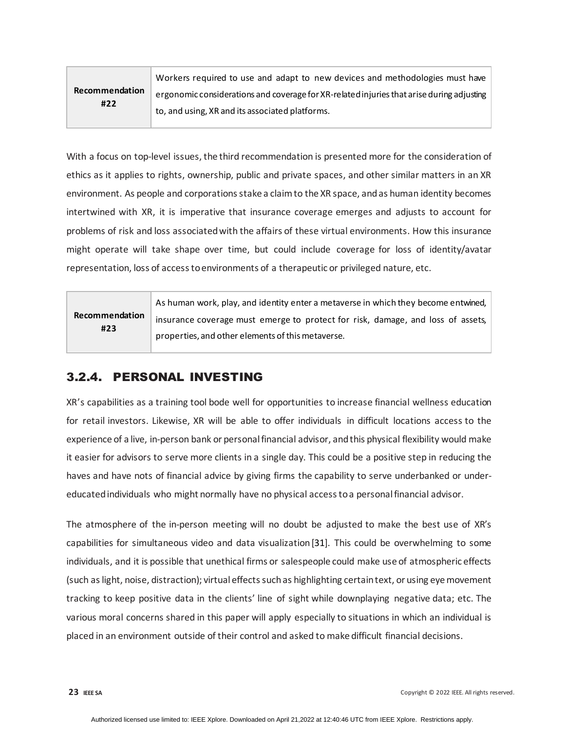| Recommendation<br>#22 | Workers required to use and adapt to new devices and methodologies must have              |
|-----------------------|-------------------------------------------------------------------------------------------|
|                       | ergonomic considerations and coverage for XR-related injuries that arise during adjusting |
|                       | to, and using, XR and its associated platforms.                                           |

With a focus on top-level issues, the third recommendation is presented more for the consideration of ethics as it applies to rights, ownership, public and private spaces, and other similar matters in an XR environment. As people and corporations stake a claim to the XR space, and as human identity becomes intertwined with XR, it is imperative that insurance coverage emerges and adjusts to account for problems of risk and loss associated with the affairs of these virtual environments. How this insurance might operate will take shape over time, but could include coverage for loss of identity/avatar representation, loss of access to environments of a therapeutic or privileged nature, etc.

| Recommendation<br>#23 | As human work, play, and identity enter a metaverse in which they become entwined, |
|-----------------------|------------------------------------------------------------------------------------|
|                       | insurance coverage must emerge to protect for risk, damage, and loss of assets,    |
|                       | properties, and other elements of this metaverse.                                  |

## <span id="page-22-0"></span>3.2.4. PERSONAL INVESTING

XR's capabilities as a training tool bode well for opportunities to increase financial wellness education for retail investors. Likewise, XR will be able to offer individuals in difficult locations access to the experience of a live, in-person bank or personal financial advisor, and this physical flexibility would make it easier for advisors to serve more clients in a single day. This could be a positive step in reducing the haves and have nots of financial advice by giving firms the capability to serve underbanked or undereducated individuals who might normally have no physical access to a personal financial advisor.

The atmosphere of the in-person meeting will no doubt be adjusted to make the best use of XR's capabilities for simultaneous video and data visualization[31]. This could be overwhelming to some individuals, and it is possible that unethical firms or salespeople could make use of atmospheric effects (such as light, noise, distraction); virtual effects such as highlighting certain text, or using eye movement tracking to keep positive data in the clients' line of sight while downplaying negative data; etc. The various moral concerns shared in this paper will apply especially to situations in which an individual is placed in an environment outside of their control and asked to make difficult financial decisions.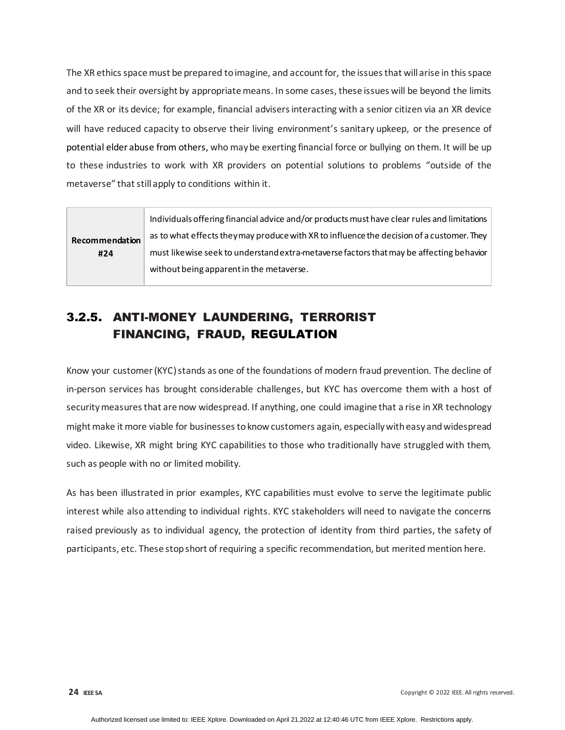The XR ethics space must be prepared to imagine, and account for, the issues that will arise in this space and to seek their oversight by appropriate means. In some cases, these issues will be beyond the limits of the XR or its device; for example, financial advisers interacting with a senior citizen via an XR device will have reduced capacity to observe their living environment's sanitary upkeep, or the presence of potential elder abuse from others, who may be exerting financial force or bullying on them. It will be up to these industries to work with XR providers on potential solutions to problems "outside of the metaverse" that still apply to conditions within it.

|                | Individuals offering financial advice and/or products must have clear rules and limitations |
|----------------|---------------------------------------------------------------------------------------------|
| Recommendation | as to what effects they may produce with XR to influence the decision of a customer. They   |
| #24            | must likewise seek to understand extra-metaverse factors that may be affecting behavior     |
|                | without being apparent in the metaverse.                                                    |

## <span id="page-23-0"></span>3.2.5. ANTI-MONEY LAUNDERING, TERRORIST FINANCING, FRAUD, REGULATION

Know your customer (KYC) stands as one of the foundations of modern fraud prevention. The decline of in-person services has brought considerable challenges, but KYC has overcome them with a host of security measures that are now widespread. If anything, one could imagine that a rise in XR technology might make it more viable for businesses to know customers again, especially with easy and widespread video. Likewise, XR might bring KYC capabilities to those who traditionally have struggled with them, such as people with no or limited mobility.

As has been illustrated in prior examples, KYC capabilities must evolve to serve the legitimate public interest while also attending to individual rights. KYC stakeholders will need to navigate the concerns raised previously as to individual agency, the protection of identity from third parties, the safety of participants, etc. These stop short of requiring a specific recommendation, but merited mention here.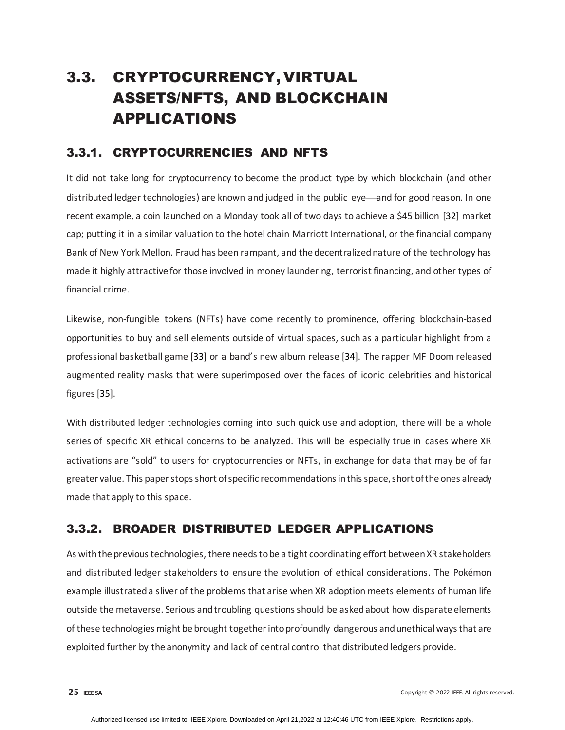## <span id="page-24-0"></span>3.3. CRYPTOCURRENCY, VIRTUAL ASSETS/NFTS, AND BLOCKCHAIN APPLICATIONS

### <span id="page-24-1"></span>3.3.1. CRYPTOCURRENCIES AND NFTS

It did not take long for cryptocurrency to become the product type by which blockchain (and other distributed ledger technologies) are known and judged in the public eye—and for good reason. In one recent example, a coin launched on a Monday took all of two days to achieve a \$45 billion [32] market cap; putting it in a similar valuation to the hotel chain Marriott International, or the financial company Bank of New York Mellon. Fraud has been rampant, and the decentralized nature of the technology has made it highly attractive for those involved in money laundering, terrorist financing, and other types of financial crime.

Likewise, non-fungible tokens (NFTs) have come recently to prominence, offering blockchain-based opportunities to buy and sell elements outside of virtual spaces, such as a particular highlight from a professional basketball game [33] or a band's new album release [34]. The rapper MF Doom released augmented reality masks that were superimposed over the faces of iconic celebrities and historical figures [35].

With distributed ledger technologies coming into such quick use and adoption, there will be a whole series of specific XR ethical concerns to be analyzed. This will be especially true in cases where XR activations are "sold" to users for cryptocurrencies or NFTs, in exchange for data that may be of far greater value. This paper stops short of specific recommendations in this space, short of the ones already made that apply to this space.

## <span id="page-24-2"></span>3.3.2. BROADER DISTRIBUTED LEDGER APPLICATIONS

As with the previous technologies, there needs to be a tight coordinating effort between XR stakeholders and distributed ledger stakeholders to ensure the evolution of ethical considerations. The Pokémon example illustrated a sliver of the problems that arise when XR adoption meets elements of human life outside the metaverse. Serious and troubling questions should be asked about how disparate elements of these technologies might be brought together into profoundly dangerous and unethical ways that are exploited further by the anonymity and lack of central control that distributed ledgers provide.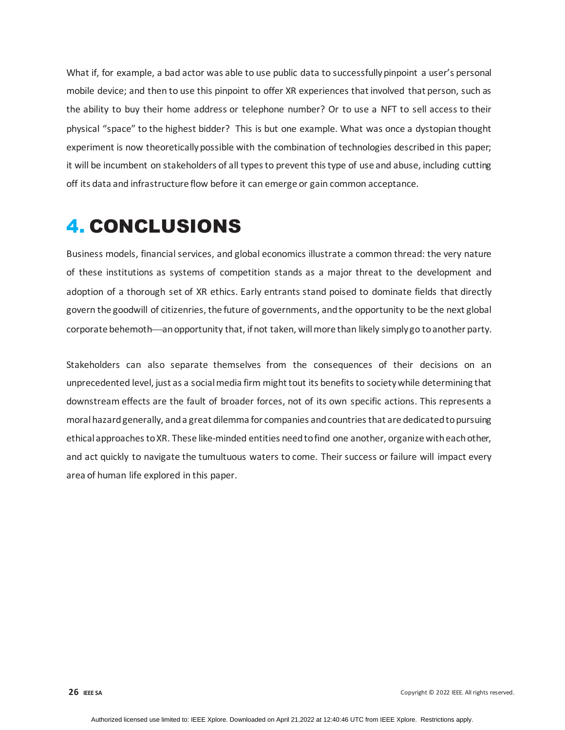What if, for example, a bad actor was able to use public data to successfully pinpoint a user's personal mobile device; and then to use this pinpoint to offer XR experiences that involved that person, such as the ability to buy their home address or telephone number? Or to use a NFT to sell access to their physical "space" to the highest bidder? This is but one example. What was once a dystopian thought experiment is now theoretically possible with the combination of technologies described in this paper; it will be incumbent on stakeholders of all types to prevent this type of use and abuse, including cutting off its data and infrastructure flow before it can emerge or gain common acceptance.

# <span id="page-25-0"></span>4. CONCLUSIONS

Business models, financial services, and global economics illustrate a common thread: the very nature of these institutions as systems of competition stands as a major threat to the development and adoption of a thorough set of XR ethics. Early entrants stand poised to dominate fields that directly govern the goodwill of citizenries, the future of governments, and the opportunity to be the next global corporate behemoth—an opportunity that, if not taken, will more than likely simply go to another party.

Stakeholders can also separate themselves from the consequences of their decisions on an unprecedented level, just as a social media firm might tout its benefits to society while determining that downstream effects are the fault of broader forces, not of its own specific actions. This represents a moral hazard generally, and a great dilemma for companies and countries that are dedicated to pursuing ethical approaches to XR. These like-minded entities need to find one another, organize with each other, and act quickly to navigate the tumultuous waters to come. Their success or failure will impact every area of human life explored in this paper.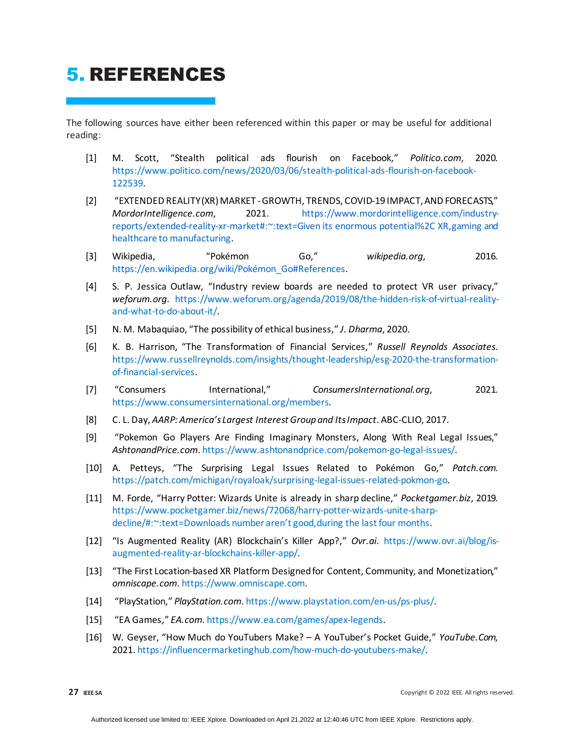# <span id="page-26-0"></span>5. REFERENCES

The following sources have either been referenced within this paper or may be useful for additional reading:

- [1] M. Scott, "Stealth political ads flourish on Facebook," *Politico.com*, 2020. [https://www.politico.com/news/2020/03/06/stealth-political-ads-flourish-on-facebook-](https://www.politico.com/news/2020/03/06/stealth-political-ads-flourish-on-facebook-122539)[122539.](https://www.politico.com/news/2020/03/06/stealth-political-ads-flourish-on-facebook-122539)
- [2] "EXTENDED REALITY (XR) MARKET -GROWTH, TRENDS, COVID-19 IMPACT, AND FORECASTS," *MordorIntelligence.com*, 2021. [https://www.mordorintelligence.com/industry](https://www.mordorintelligence.com/industry-reports/extended-reality-xr-market#:%7E:text=Given)[reports/extended-reality-xr-market#:~:text=Given its enormous potential%2C XR,gaming and](https://www.mordorintelligence.com/industry-reports/extended-reality-xr-market#:%7E:text=Given)  [healthcare to manufacturing.](https://www.mordorintelligence.com/industry-reports/extended-reality-xr-market#:%7E:text=Given)
- [3] Wikipedia, "Pokémon Go," *wikipedia.org*, 2016. [https://en.wikipedia.org/wiki/Pokémon\\_Go#References.](https://en.wikipedia.org/wiki/Pok%C3%A9mon_Go#References)
- [4] S. P. Jessica Outlaw, "Industry review boards are needed to protect VR user privacy," *weforum.org*. [https://www.weforum.org/agenda/2019/08/the-hidden-risk-of-virtual-reality](https://www.weforum.org/agenda/2019/08/the-hidden-risk-of-virtual-reality-and-what-to-do-about-it/)[and-what-to-do-about-it/.](https://www.weforum.org/agenda/2019/08/the-hidden-risk-of-virtual-reality-and-what-to-do-about-it/)
- [5] N. M. Mabaquiao, "The possibility of ethical business," *J. Dharma*, 2020.
- [6] K. B. Harrison, "The Transformation of Financial Services," *Russell Reynolds Associates*. [https://www.russellreynolds.com/insights/thought-leadership/esg-2020-the-transformation](https://www.russellreynolds.com/insights/thought-leadership/esg-2020-the-transformation-of-financial-services)[of-financial-services.](https://www.russellreynolds.com/insights/thought-leadership/esg-2020-the-transformation-of-financial-services)
- [7] "Consumers International," *ConsumersInternational.org*, 2021. <https://www.consumersinternational.org/members>.
- [8] C. L. Day, *AARP: America's Largest Interest Group and Its Impact*. ABC-CLIO, 2017.
- [9] "Pokemon Go Players Are Finding Imaginary Monsters, Along With Real Legal Issues," *AshtonandPrice.com*[. https://www.ashtonandprice.com/pokemon-go-legal-issues/.](https://www.ashtonandprice.com/pokemon-go-legal-issues/)
- [10] A. Petteys, "The Surprising Legal Issues Related to Pokémon Go," *Patch.com*. [https://patch.com/michigan/royaloak/surprising-legal-issues-related-pokmon-go.](https://patch.com/michigan/royaloak/surprising-legal-issues-related-pokmon-go)
- [11] M. Forde, "Harry Potter: Wizards Unite is already in sharp decline," *Pocketgamer.biz*, 2019. [https://www.pocketgamer.biz/news/72068/harry-potter-wizards-unite-sharp](https://www.pocketgamer.biz/news/72068/harry-potter-wizards-unite-sharp-decline/#:%7E:text=Downloads%20number%20aren%E2%80%99t%20good,during%20the%20last%20four%20months)[decline/#:~:text=Downloads number aren't good,during the last four months.](https://www.pocketgamer.biz/news/72068/harry-potter-wizards-unite-sharp-decline/#:%7E:text=Downloads%20number%20aren%E2%80%99t%20good,during%20the%20last%20four%20months)
- [12] "Is Augmented Reality (AR) Blockchain's Killer App?," *Ovr.ai*. [https://www.ovr.ai/blog/is](https://www.ovr.ai/blog/is-augmented-reality-ar-blockchains-killer-app/)[augmented-reality-ar-blockchains-killer-app/.](https://www.ovr.ai/blog/is-augmented-reality-ar-blockchains-killer-app/)
- [13] "The First Location-based XR Platform Designed for Content, Community, and Monetization," *omniscape.com*[. https://www.omniscape.com](https://www.omniscape.com/).
- [14] "PlayStation," *PlayStation.com*[. https://www.playstation.com/en-us/ps-plus/.](https://www.playstation.com/en-us/ps-plus/)
- [15] "EA Games," *EA.com*[. https://www.ea.com/games/apex-legends](https://www.ea.com/games/apex-legends).
- [16] W. Geyser, "How Much do YouTubers Make? A YouTuber's Pocket Guide," *YouTube.Com*, 2021. [https://influencermarketinghub.com/how-much-do-youtubers-make/.](https://influencermarketinghub.com/how-much-do-youtubers-make/)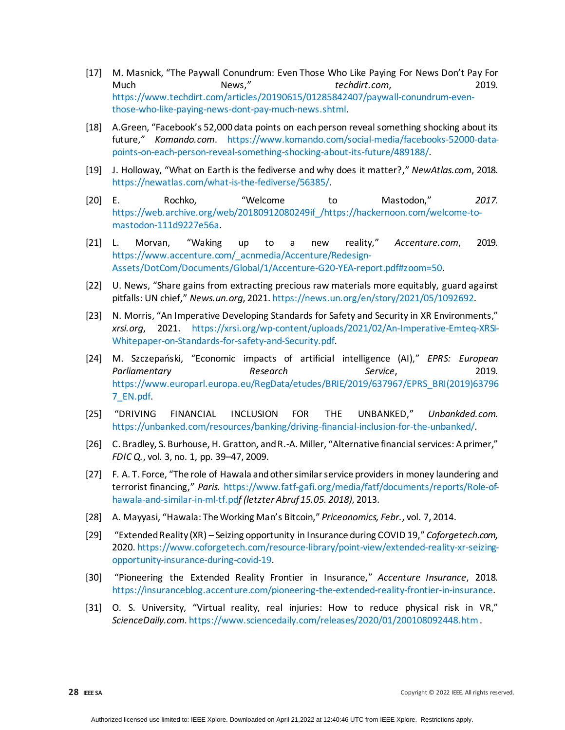- [17] M. Masnick, "The Paywall Conundrum: Even Those Who Like Paying For News Don't Pay For Much News," *techdirt.com*, 2019. [https://www.techdirt.com/articles/20190615/01285842407/paywall-conundrum-even](https://www.techdirt.com/articles/20190615/01285842407/paywall-conundrum-even-those-who-like-paying-news-dont-pay-much-news.shtml)[those-who-like-paying-news-dont-pay-much-news.shtml.](https://www.techdirt.com/articles/20190615/01285842407/paywall-conundrum-even-those-who-like-paying-news-dont-pay-much-news.shtml)
- [18] A.Green, "Facebook's 52,000 data points on each person reveal something shocking about its future," *Komando.com*. [https://www.komando.com/social-media/facebooks-52000-data](https://www.komando.com/social-media/facebooks-52000-data-points-on-each-person-reveal-something-shocking-about-its-future/489188/)[points-on-each-person-reveal-something-shocking-about-its-future/489188/.](https://www.komando.com/social-media/facebooks-52000-data-points-on-each-person-reveal-something-shocking-about-its-future/489188/)
- [19] J. Holloway, "What on Earth is the fediverse and why does it matter?," *NewAtlas.com*, 2018. [https://newatlas.com/what-is-the-fediverse/56385/.](https://newatlas.com/what-is-the-fediverse/56385/)
- [20] E. Rochko, "Welcome to Mastodon," *2017*. [https://web.archive.org/web/20180912080249if\\_/https://hackernoon.com/welcome-to](https://web.archive.org/web/20180912080249if_/https:/hackernoon.com/welcome-to-mastodon-111d9227e56a)[mastodon-111d9227e56a.](https://web.archive.org/web/20180912080249if_/https:/hackernoon.com/welcome-to-mastodon-111d9227e56a)
- [21] L. Morvan, "Waking up to a new reality," *Accenture.com*, 2019. [https://www.accenture.com/\\_acnmedia/Accenture/Redesign-](https://www.accenture.com/_acnmedia/Accenture/Redesign-Assets/DotCom/Documents/Global/1/Accenture-G20-YEA-report.pdf#zoom=50)[Assets/DotCom/Documents/Global/1/Accenture-G20-YEA-report.pdf#zoom=50.](https://www.accenture.com/_acnmedia/Accenture/Redesign-Assets/DotCom/Documents/Global/1/Accenture-G20-YEA-report.pdf#zoom=50)
- [22] U. News, "Share gains from extracting precious raw materials more equitably, guard against pitfalls: UN chief," *News.un.org*, 2021[. https://news.un.org/en/story/2021/05/1092692.](https://news.un.org/en/story/2021/05/1092692)
- [23] N. Morris, "An Imperative Developing Standards for Safety and Security in XR Environments," *xrsi.org*, 2021. [https://xrsi.org/wp-content/uploads/2021/02/An-Imperative-Emteq-XRSI-](https://xrsi.org/wp-content/uploads/2021/02/An-Imperative-Emteq-XRSI-Whitepaper-on-Standards-for-safety-and-Security.pdf)[Whitepaper-on-Standards-for-safety-and-Security.pdf.](https://xrsi.org/wp-content/uploads/2021/02/An-Imperative-Emteq-XRSI-Whitepaper-on-Standards-for-safety-and-Security.pdf)
- [24] M. Szczepański, "Economic impacts of artificial intelligence (AI)," *EPRS: European Parliamentary Research Service*, 2019. [https://www.europarl.europa.eu/RegData/etudes/BRIE/2019/637967/EPRS\\_BRI\(2019\)63796](https://www.europarl.europa.eu/RegData/etudes/BRIE/2019/637967/EPRS_BRI(2019)637967_EN.pdf) [7\\_EN.pdf.](https://www.europarl.europa.eu/RegData/etudes/BRIE/2019/637967/EPRS_BRI(2019)637967_EN.pdf)
- [25] "DRIVING FINANCIAL INCLUSION FOR THE UNBANKED," *Unbankded.com*. [https://unbanked.com/resources/banking/driving-financial-inclusion-for-the-unbanked/.](https://unbanked.com/resources/banking/driving-financial-inclusion-for-the-unbanked/)
- [26] C. Bradley, S. Burhouse, H. Gratton, and R.-A. Miller, "Alternative financial services: A primer," *FDIC Q.*, vol. 3, no. 1, pp. 39–47, 2009.
- [27] F. A. T. Force, "The role of Hawala and other similar service providers in money laundering and terrorist financing," *Paris.* https://www.fatf-gafi.org/media/fatf/documents/reports/Role-ofhawala-and-similar-in-ml-tf.pd*f (letzter Abruf 15.05. 2018)*, 2013.
- [28] A. Mayyasi, "Hawala: The Working Man's Bitcoin," *Priceonomics, Febr.*, vol. 7, 2014.
- [29] "Extended Reality (XR) Seizing opportunity in Insurance during COVID 19," *Coforgetech.com*, 2020. [https://www.coforgetech.com/resource-library/point-view/extended-reality-xr-seizing](https://www.coforgetech.com/resource-library/point-view/extended-reality-xr-seizing-opportunity-insurance-during-covid-19)[opportunity-insurance-during-covid-19.](https://www.coforgetech.com/resource-library/point-view/extended-reality-xr-seizing-opportunity-insurance-during-covid-19)
- [30] "Pioneering the Extended Reality Frontier in Insurance," *Accenture Insurance*, 2018. [https://insuranceblog.accenture.com/pioneering-the-extended-reality-frontier-in-insurance.](https://insuranceblog.accenture.com/pioneering-the-extended-reality-frontier-in-insurance)
- [31] O. S. University, "Virtual reality, real injuries: How to reduce physical risk in VR," *ScienceDaily.com*[. https://www.sciencedaily.com/releases/2020/01/200108092448.htm](https://www.sciencedaily.com/releases/2020/01/200108092448.htm).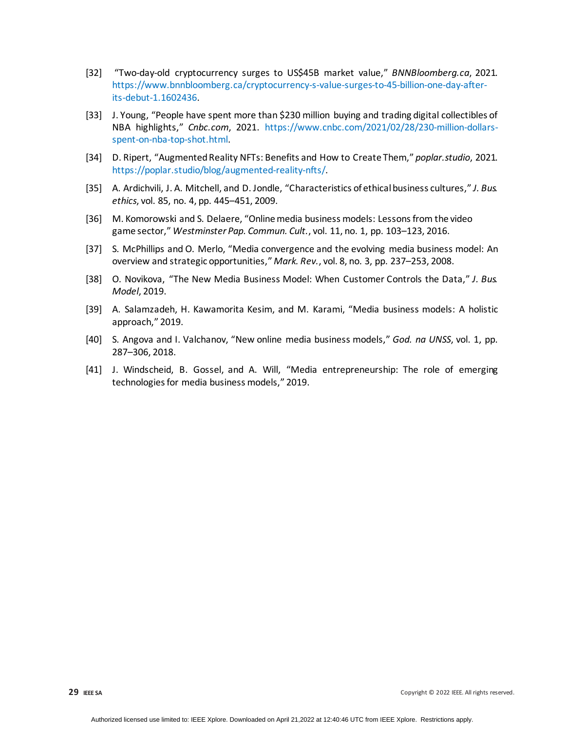- [32] "Two-day-old cryptocurrency surges to US\$45B market value," *BNNBloomberg.ca*, 2021. [https://www.bnnbloomberg.ca/cryptocurrency-s-value-surges-to-45-billion-one-day-after](https://www.bnnbloomberg.ca/cryptocurrency-s-value-surges-to-45-billion-one-day-after-its-debut-1.1602436)[its-debut-1.1602436.](https://www.bnnbloomberg.ca/cryptocurrency-s-value-surges-to-45-billion-one-day-after-its-debut-1.1602436)
- [33] J. Young, "People have spent more than \$230 million buying and trading digital collectibles of NBA highlights," *Cnbc.com*, 2021. [https://www.cnbc.com/2021/02/28/230-million-dollars](https://www.cnbc.com/2021/02/28/230-million-dollars-spent-on-nba-top-shot.html)[spent-on-nba-top-shot.html.](https://www.cnbc.com/2021/02/28/230-million-dollars-spent-on-nba-top-shot.html)
- [34] D. Ripert, "Augmented Reality NFTs: Benefits and How to Create Them," *poplar.studio*, 2021. [https://poplar.studio/blog/augmented-reality-nfts/.](https://poplar.studio/blog/augmented-reality-nfts/)
- [35] A. Ardichvili, J. A. Mitchell, and D. Jondle, "Characteristics of ethical business cultures," *J. Bus. ethics*, vol. 85, no. 4, pp. 445–451, 2009.
- [36] M. Komorowski and S. Delaere, "Online media business models: Lessons from the video game sector," *Westminster Pap. Commun. Cult.*, vol. 11, no. 1, pp. 103–123, 2016.
- [37] S. McPhillips and O. Merlo, "Media convergence and the evolving media business model: An overview and strategic opportunities," *Mark. Rev.*, vol. 8, no. 3, pp. 237–253, 2008.
- [38] O. Novikova, "The New Media Business Model: When Customer Controls the Data," *J. Bus. Model*, 2019.
- [39] A. Salamzadeh, H. Kawamorita Kesim, and M. Karami, "Media business models: A holistic approach," 2019.
- [40] S. Angova and I. Valchanov, "New online media business models," *God. na UNSS*, vol. 1, pp. 287–306, 2018.
- [41] J. Windscheid, B. Gossel, and A. Will, "Media entrepreneurship: The role of emerging technologies for media business models," 2019.